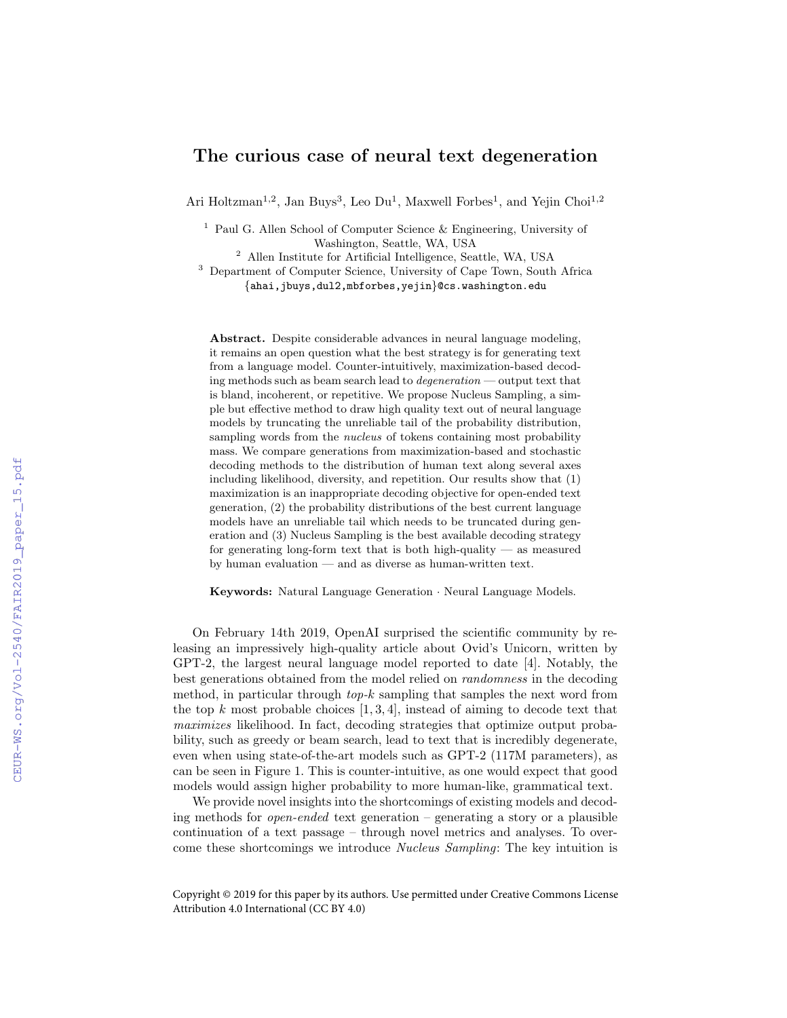## The curious case of neural text degeneration

Ari Holtzman<sup>1,2</sup>, Jan Buys<sup>3</sup>, Leo Du<sup>1</sup>, Maxwell Forbes<sup>1</sup>, and Yejin Choi<sup>1,2</sup>

<sup>1</sup> Paul G. Allen School of Computer Science & Engineering, University of Washington, Seattle, WA, USA

 $^{\rm 2}$  Allen Institute for Artificial Intelligence, Seattle, WA, USA

<sup>3</sup> Department of Computer Science, University of Cape Town, South Africa {ahai,jbuys,dul2,mbforbes,yejin}@cs.washington.edu

Abstract. Despite considerable advances in neural language modeling, it remains an open question what the best strategy is for generating text from a language model. Counter-intuitively, maximization-based decoding methods such as beam search lead to degeneration — output text that is bland, incoherent, or repetitive. We propose Nucleus Sampling, a simple but effective method to draw high quality text out of neural language models by truncating the unreliable tail of the probability distribution, sampling words from the *nucleus* of tokens containing most probability mass. We compare generations from maximization-based and stochastic decoding methods to the distribution of human text along several axes including likelihood, diversity, and repetition. Our results show that (1) maximization is an inappropriate decoding objective for open-ended text generation, (2) the probability distributions of the best current language models have an unreliable tail which needs to be truncated during generation and (3) Nucleus Sampling is the best available decoding strategy for generating long-form text that is both high-quality  $-$  as measured by human evaluation — and as diverse as human-written text.

Keywords: Natural Language Generation · Neural Language Models.

On February 14th 2019, OpenAI surprised the scientific community by releasing an impressively high-quality article about Ovid's Unicorn, written by GPT-2, the largest neural language model reported to date [4]. Notably, the best generations obtained from the model relied on randomness in the decoding method, in particular through top-k sampling that samples the next word from the top  $k$  most probable choices  $[1, 3, 4]$ , instead of aiming to decode text that maximizes likelihood. In fact, decoding strategies that optimize output probability, such as greedy or beam search, lead to text that is incredibly degenerate, even when using state-of-the-art models such as GPT-2 (117M parameters), as can be seen in Figure 1. This is counter-intuitive, as one would expect that good models would assign higher probability to more human-like, grammatical text.

We provide novel insights into the shortcomings of existing models and decoding methods for *open-ended* text generation – generating a story or a plausible continuation of a text passage – through novel metrics and analyses. To overcome these shortcomings we introduce Nucleus Sampling: The key intuition is

Copyright © 2019 for this paper by its authors. Use permitted under Creative Commons License Attribution 4.0 International (CC BY 4.0)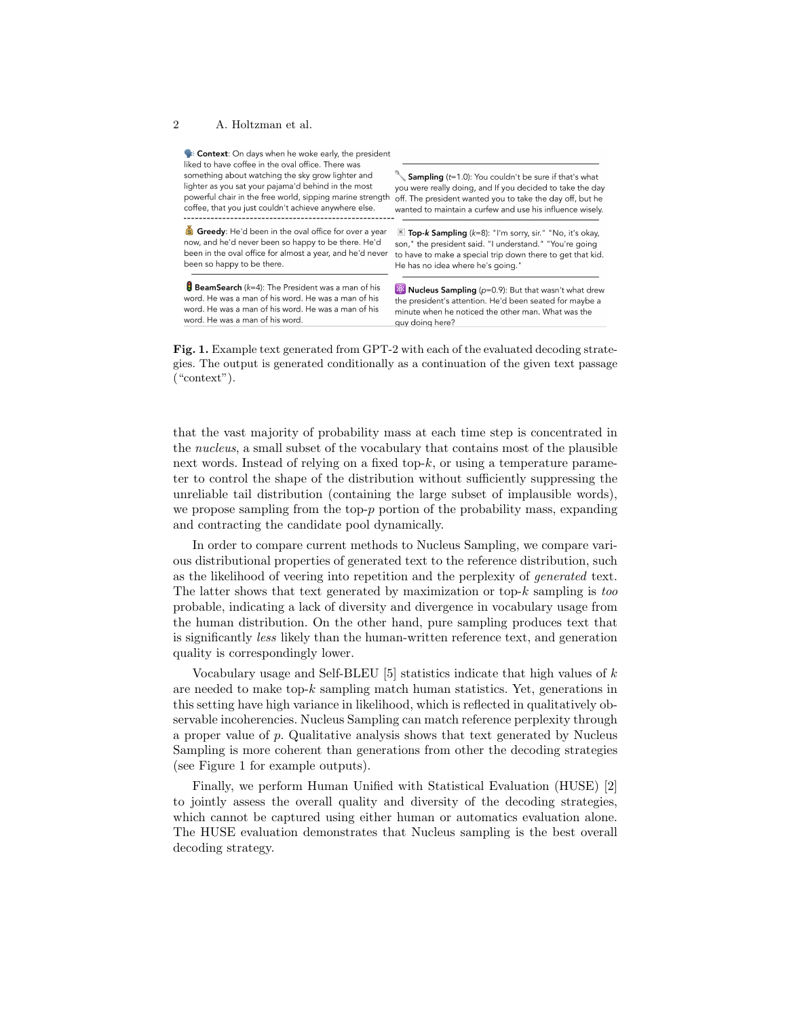## 2 A. Holtzman et al.

Context: On days when he woke early, the president liked to have coffee in the oval office. There was something about watching the sky grow lighter and Sampling (t=1.0): You couldn't be sure if that's what lighter as you sat your pajama'd behind in the most you were really doing, and If you decided to take the day powerful chair in the free world, sipping marine strength off. The president wanted you to take the day off, but he coffee, that you just couldn't achieve anywhere else. wanted to maintain a curfew and use his influence wisely Greedy: He'd been in the oval office for over a year K Top-k Sampling (k=8): "I'm sorry, sir." "No, it's okay, now, and he'd never been so happy to be there. He'd son," the president said. "I understand." "You're going been in the oval office for almost a year, and he'd never to have to make a special trip down there to get that kid. been so happy to be there. He has no idea where he's going." BeamSearch  $(k=4)$ : The President was a man of his **&** Nucleus Sampling (p=0.9): But that wasn't what drew word. He was a man of his word. He was a man of his the president's attention. He'd been seated for maybe a word. He was a man of his word. He was a man of his minute when he noticed the other man. What was the word. He was a man of his word.

Fig. 1. Example text generated from GPT-2 with each of the evaluated decoding strategies. The output is generated conditionally as a continuation of the given text passage ("context").

auv doina here?

that the vast majority of probability mass at each time step is concentrated in the nucleus, a small subset of the vocabulary that contains most of the plausible next words. Instead of relying on a fixed top-k, or using a temperature parameter to control the shape of the distribution without sufficiently suppressing the unreliable tail distribution (containing the large subset of implausible words), we propose sampling from the top- $p$  portion of the probability mass, expanding and contracting the candidate pool dynamically.

In order to compare current methods to Nucleus Sampling, we compare various distributional properties of generated text to the reference distribution, such as the likelihood of veering into repetition and the perplexity of generated text. The latter shows that text generated by maximization or top- $k$  sampling is too probable, indicating a lack of diversity and divergence in vocabulary usage from the human distribution. On the other hand, pure sampling produces text that is significantly less likely than the human-written reference text, and generation quality is correspondingly lower.

Vocabulary usage and Self-BLEU [5] statistics indicate that high values of  $k$ are needed to make top- $k$  sampling match human statistics. Yet, generations in this setting have high variance in likelihood, which is reflected in qualitatively observable incoherencies. Nucleus Sampling can match reference perplexity through a proper value of p. Qualitative analysis shows that text generated by Nucleus Sampling is more coherent than generations from other the decoding strategies (see Figure 1 for example outputs).

Finally, we perform Human Unified with Statistical Evaluation (HUSE) [2] to jointly assess the overall quality and diversity of the decoding strategies, which cannot be captured using either human or automatics evaluation alone. The HUSE evaluation demonstrates that Nucleus sampling is the best overall decoding strategy.